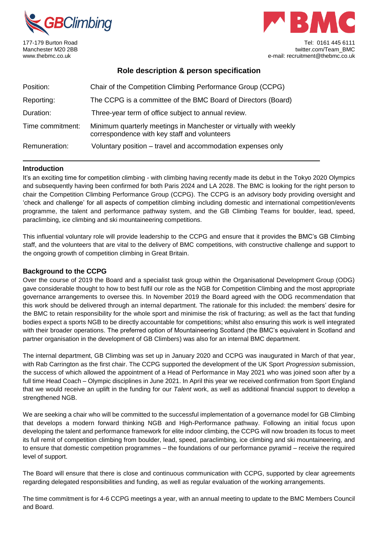



177-179 Burton Road Tel: 0161 445 6111 Manchester M20 2BB twitter.com/Team\_BMC www.thebmc.co.uk e-mail: recruitment@thebmc.co.uk

# **Role description & person specification**

| Position:        | Chair of the Competition Climbing Performance Group (CCPG)                                                        |
|------------------|-------------------------------------------------------------------------------------------------------------------|
| Reporting:       | The CCPG is a committee of the BMC Board of Directors (Board)                                                     |
| Duration:        | Three-year term of office subject to annual review.                                                               |
| Time commitment: | Minimum quarterly meetings in Manchester or virtually with weekly<br>correspondence with key staff and volunteers |
| Remuneration:    | Voluntary position – travel and accommodation expenses only                                                       |

### **Introduction**

It's an exciting time for competition climbing - with climbing having recently made its debut in the Tokyo 2020 Olympics and subsequently having been confirmed for both Paris 2024 and LA 2028. The BMC is looking for the right person to chair the Competition Climbing Performance Group (CCPG). The CCPG is an advisory body providing oversight and 'check and challenge' for all aspects of competition climbing including domestic and international competition/events programme, the talent and performance pathway system, and the GB Climbing Teams for boulder, lead, speed, paraclimbing, ice climbing and ski mountaineering competitions.

This influential voluntary role will provide leadership to the CCPG and ensure that it provides the BMC's GB Climbing staff, and the volunteers that are vital to the delivery of BMC competitions, with constructive challenge and support to the ongoing growth of competition climbing in Great Britain.

## **Background to the CCPG**

Over the course of 2019 the Board and a specialist task group within the Organisational Development Group (ODG) gave considerable thought to how to best fulfil our role as the NGB for Competition Climbing and the most appropriate governance arrangements to oversee this. In November 2019 the Board agreed with the ODG recommendation that this work should be delivered through an internal department. The rationale for this included: the members' desire for the BMC to retain responsibility for the whole sport and minimise the risk of fracturing; as well as the fact that funding bodies expect a sports NGB to be directly accountable for competitions; whilst also ensuring this work is well integrated with their broader operations. The preferred option of Mountaineering Scotland (the BMC's equivalent in Scotland and partner organisation in the development of GB Climbers) was also for an internal BMC department.

The internal department, GB Climbing was set up in January 2020 and CCPG was inaugurated in March of that year, with Rab Carrington as the first chair. The CCPG supported the development of the UK Sport *Progression* submission, the success of which allowed the appointment of a Head of Performance in May 2021 who was joined soon after by a full time Head Coach – Olympic disciplines in June 2021. In April this year we received confirmation from Sport England that we would receive an uplift in the funding for our *Talent* work, as well as additional financial support to develop a strengthened NGB.

We are seeking a chair who will be committed to the successful implementation of a governance model for GB Climbing that develops a modern forward thinking NGB and High-Performance pathway. Following an initial focus upon developing the talent and performance framework for elite indoor climbing, the CCPG will now broaden its focus to meet its full remit of competition climbing from boulder, lead, speed, paraclimbing, ice climbing and ski mountaineering, and to ensure that domestic competition programmes – the foundations of our performance pyramid – receive the required level of support.

The Board will ensure that there is close and continuous communication with CCPG, supported by clear agreements regarding delegated responsibilities and funding, as well as regular evaluation of the working arrangements.

The time commitment is for 4-6 CCPG meetings a year, with an annual meeting to update to the BMC Members Council and Board.